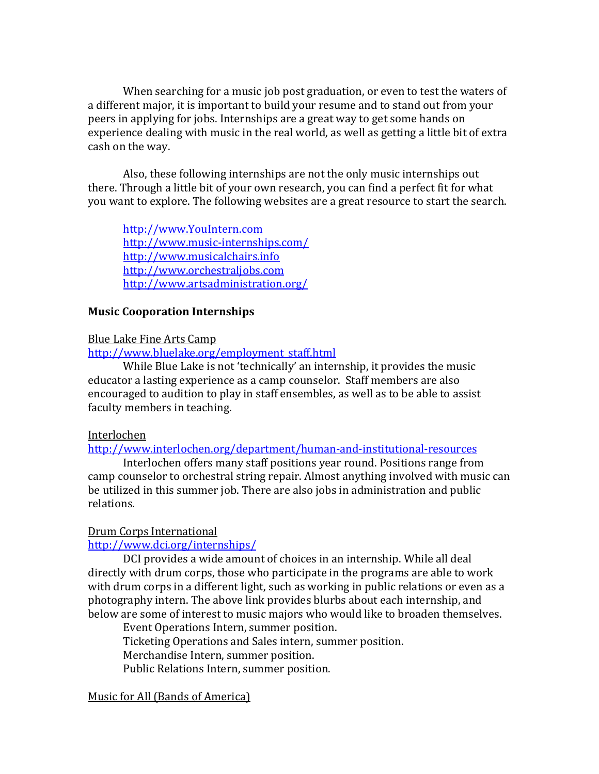When searching for a music job post graduation, or even to test the waters of a different major, it is important to build your resume and to stand out from your peers in applying for jobs. Internships are a great way to get some hands on experience dealing with music in the real world, as well as getting a little bit of extra cash on the way.

Also, these following internships are not the only music internships out there. Through a little bit of your own research, you can find a perfect fit for what you want to explore. The following websites are a great resource to start the search.

[http://www.YouIntern.com](http://www.youintern.com/) <http://www.music-internships.com/> [http://www.musicalchairs.info](http://www.musicalchairs.info/) [http://www.orchestraljobs.com](http://www.orchestraljobs.com/) <http://www.artsadministration.org/>

## **Music Cooporation Internships**

## Blue Lake Fine Arts Camp

[http://www.bluelake.org/employment\\_staff.html](http://www.bluelake.org/employment_staff.html)

While Blue Lake is not 'technically' an internship, it provides the music educator a lasting experience as a camp counselor. Staff members are also encouraged to audition to play in staff ensembles, as well as to be able to assist faculty members in teaching.

## Interlochen

<http://www.interlochen.org/department/human-and-institutional-resources>

Interlochen offers many staff positions year round. Positions range from camp counselor to orchestral string repair. Almost anything involved with music can be utilized in this summer job. There are also jobs in administration and public relations.

# Drum Corps International

<http://www.dci.org/internships/>

DCI provides a wide amount of choices in an internship. While all deal directly with drum corps, those who participate in the programs are able to work with drum corps in a different light, such as working in public relations or even as a photography intern. The above link provides blurbs about each internship, and below are some of interest to music majors who would like to broaden themselves.

Event Operations Intern, summer position. Ticketing Operations and Sales intern, summer position. Merchandise Intern, summer position. Public Relations Intern, summer position.

# Music for All (Bands of America)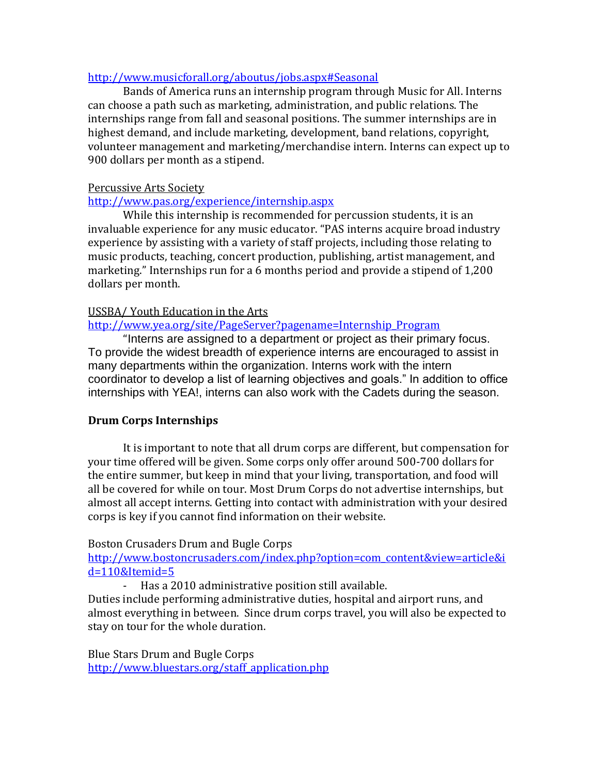## <http://www.musicforall.org/aboutus/jobs.aspx#Seasonal>

Bands of America runs an internship program through Music for All. Interns can choose a path such as marketing, administration, and public relations. The internships range from fall and seasonal positions. The summer internships are in highest demand, and include marketing, development, band relations, copyright, volunteer management and marketing/merchandise intern. Interns can expect up to 900 dollars per month as a stipend.

## Percussive Arts Society

# <http://www.pas.org/experience/internship.aspx>

While this internship is recommended for percussion students, it is an invaluable experience for any music educator. "PAS interns acquire broad industry experience by assisting with a variety of staff projects, including those relating to music products, teaching, concert production, publishing, artist management, and marketing." Internships run for a 6 months period and provide a stipend of 1,200 dollars per month.

## USSBA/ Youth Education in the Arts

# [http://www.yea.org/site/PageServer?pagename=Internship\\_Program](http://www.yea.org/site/PageServer?pagename=Internship_Program)

"Interns are assigned to a department or project as their primary focus. To provide the widest breadth of experience interns are encouraged to assist in many departments within the organization. Interns work with the intern coordinator to develop a list of learning objectives and goals." In addition to office internships with YEA!, interns can also work with the Cadets during the season.

# **Drum Corps Internships**

It is important to note that all drum corps are different, but compensation for your time offered will be given. Some corps only offer around 500-700 dollars for the entire summer, but keep in mind that your living, transportation, and food will all be covered for while on tour. Most Drum Corps do not advertise internships, but almost all accept interns. Getting into contact with administration with your desired corps is key if you cannot find information on their website.

## Boston Crusaders Drum and Bugle Corps

[http://www.bostoncrusaders.com/index.php?option=com\\_content&view=article&i](http://www.bostoncrusaders.com/index.php?option=com_content&view=article&id=110&Itemid=5) [d=110&Itemid=5](http://www.bostoncrusaders.com/index.php?option=com_content&view=article&id=110&Itemid=5)

- Has a 2010 administrative position still available.

Duties include performing administrative duties, hospital and airport runs, and almost everything in between. Since drum corps travel, you will also be expected to stay on tour for the whole duration.

Blue Stars Drum and Bugle Corps [http://www.bluestars.org/staff\\_application.php](http://www.bluestars.org/staff_application.php)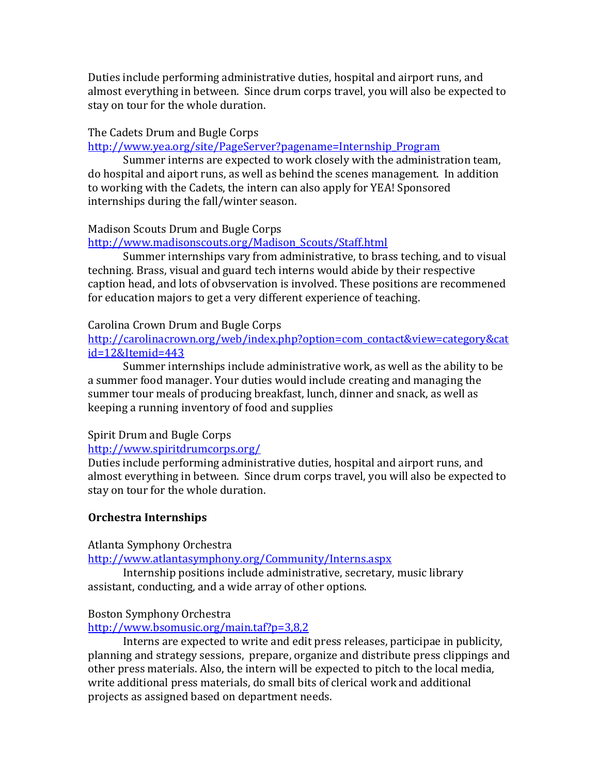Duties include performing administrative duties, hospital and airport runs, and almost everything in between. Since drum corps travel, you will also be expected to stay on tour for the whole duration.

### The Cadets Drum and Bugle Corps

### [http://www.yea.org/site/PageServer?pagename=Internship\\_Program](http://www.yea.org/site/PageServer?pagename=Internship_Program)

Summer interns are expected to work closely with the administration team, do hospital and aiport runs, as well as behind the scenes management. In addition to working with the Cadets, the intern can also apply for YEA! Sponsored internships during the fall/winter season.

## Madison Scouts Drum and Bugle Corps

[http://www.madisonscouts.org/Madison\\_Scouts/Staff.html](http://www.madisonscouts.org/Madison_Scouts/Staff.html)

Summer internships vary from administrative, to brass teching, and to visual techning. Brass, visual and guard tech interns would abide by their respective caption head, and lots of obvservation is involved. These positions are recommened for education majors to get a very different experience of teaching.

#### Carolina Crown Drum and Bugle Corps

[http://carolinacrown.org/web/index.php?option=com\\_contact&view=category&cat](http://carolinacrown.org/web/index.php?option=com_contact&view=category&catid=12&Itemid=443) [id=12&Itemid=443](http://carolinacrown.org/web/index.php?option=com_contact&view=category&catid=12&Itemid=443)

Summer internships include administrative work, as well as the ability to be a summer food manager. Your duties would include creating and managing the summer tour meals of producing breakfast, lunch, dinner and snack, as well as keeping a running inventory of food and supplies

## Spirit Drum and Bugle Corps

#### <http://www.spiritdrumcorps.org/>

Duties include performing administrative duties, hospital and airport runs, and almost everything in between. Since drum corps travel, you will also be expected to stay on tour for the whole duration.

## **Orchestra Internships**

Atlanta Symphony Orchestra

<http://www.atlantasymphony.org/Community/Interns.aspx>

Internship positions include administrative, secretary, music library assistant, conducting, and a wide array of other options.

## Boston Symphony Orchestra

<http://www.bsomusic.org/main.taf?p=3,8,2>

Interns are expected to write and edit press releases, participae in publicity, planning and strategy sessions, prepare, organize and distribute press clippings and other press materials. Also, the intern will be expected to pitch to the local media, write additional press materials, do small bits of clerical work and additional projects as assigned based on department needs.